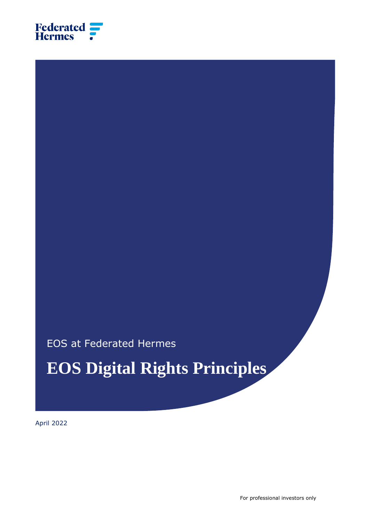

EOS at Federated Hermes

**EOS Digital Rights Principles**

April 2022

For professional investors only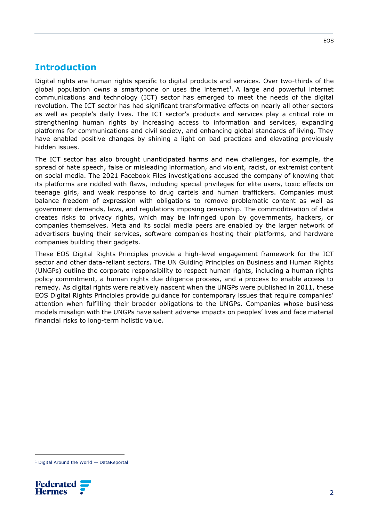#### **Introduction**

Digital rights are human rights specific to digital products and services. Over two-thirds of the global population owns a smartphone or uses the internet<sup>1</sup>. A large and powerful internet communications and technology (ICT) sector has emerged to meet the needs of the digital revolution. The ICT sector has had significant transformative effects on nearly all other sectors as well as people's daily lives. The ICT sector's products and services play a critical role in strengthening human rights by increasing access to information and services, expanding platforms for communications and civil society, and enhancing global standards of living. They have enabled positive changes by shining a light on bad practices and elevating previously hidden issues.

The ICT sector has also brought unanticipated harms and new challenges, for example, the spread of hate speech, false or misleading information, and violent, racist, or extremist content on social media. The 2021 [Facebook Files](https://www.wsj.com/articles/the-facebook-files-11631713039) investigations accused the company of knowing that its platforms are riddled with flaws, including special privileges for elite users, toxic effects on teenage girls, and weak response to drug cartels and human traffickers. Companies must balance freedom of expression with obligations to remove problematic content as well as government demands, laws, and regulations imposing censorship. The commoditisation of data creates risks to privacy rights, which may be infringed upon by governments, hackers, or companies themselves. Meta and its social media peers are enabled by the larger network of advertisers buying their services, software companies hosting their platforms, and hardware companies building their gadgets.

These EOS Digital Rights Principles provide a high-level engagement framework for the ICT sector and other data-reliant sectors. The [UN Guiding Principles on Business and Human Rights](https://www.ohchr.org/documents/publications/guidingprinciplesbusinesshr_en.pdf) (UNGPs) outline the corporate responsibility to respect human rights, including a human rights policy commitment, a human rights due diligence process, and a process to enable access to remedy. As digital rights were relatively nascent when the UNGPs were published in 2011, these EOS Digital Rights Principles provide guidance for contemporary issues that require companies' attention when fulfilling their broader obligations to the UNGPs. Companies whose business models misalign with the UNGPs have salient adverse impacts on peoples' lives and face material financial risks to long-term holistic value.

<sup>1</sup> [Digital Around the World](https://datareportal.com/global-digital-overview) — DataReportal

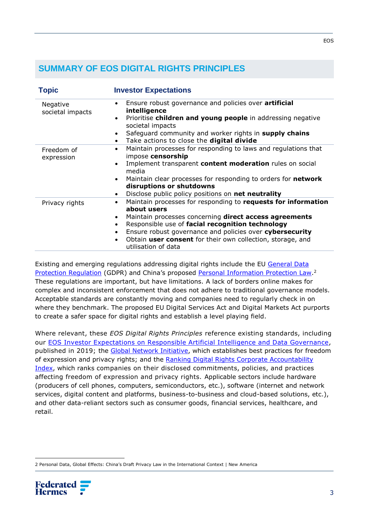### **SUMMARY OF EOS DIGITAL RIGHTS PRINCIPLES**

| <b>Topic</b>                 | <b>Investor Expectations</b>                                                                                                                                                                                                                                                                                                                                                                                 |
|------------------------------|--------------------------------------------------------------------------------------------------------------------------------------------------------------------------------------------------------------------------------------------------------------------------------------------------------------------------------------------------------------------------------------------------------------|
| Negative<br>societal impacts | Ensure robust governance and policies over artificial<br>$\bullet$<br>intelligence<br>Prioritise children and young people in addressing negative<br>$\bullet$<br>societal impacts<br>Safeguard community and worker rights in supply chains<br>$\bullet$<br>Take actions to close the digital divide<br>$\bullet$                                                                                           |
| Freedom of<br>expression     | Maintain processes for responding to laws and regulations that<br>$\bullet$<br>impose censorship<br>Implement transparent content moderation rules on social<br>$\bullet$<br>media<br>Maintain clear processes for responding to orders for network<br>$\bullet$<br>disruptions or shutdowns<br>Disclose public policy positions on net neutrality<br>$\bullet$                                              |
| Privacy rights               | Maintain processes for responding to requests for information<br>$\bullet$<br>about users<br>Maintain processes concerning direct access agreements<br>$\bullet$<br>Responsible use of facial recognition technology<br>$\bullet$<br>Ensure robust governance and policies over cybersecurity<br>$\bullet$<br>Obtain user consent for their own collection, storage, and<br>$\bullet$<br>utilisation of data |

Existing and emerging regulations addressing digital rights include the EU [General Data](https://gdpr-info.eu/)  [Protection Regulation](https://gdpr-info.eu/) (GDPR) and China's proposed [Personal Information Protection Law.](https://iapp.org/resources/article/chinas-draft-personal-information-protection-law-english-translation/)<sup>2</sup> These regulations are important, but have limitations. A lack of borders online makes for complex and inconsistent enforcement that does not adhere to traditional governance models. Acceptable standards are constantly moving and companies need to regularly check in on where they benchmark. The proposed EU Digital Services Act and Digital Markets Act purports to create a safer space for digital rights and establish a level playing field.

Where relevant, these *EOS Digital Rights Principles* reference existing standards, including our [EOS Investor Expectations on Responsible Artificial Intelligence and Data Governance,](https://www.hermes-investment.com/us/wp-content/uploads/2019/04/investors%E2%80%99-expectations-on-responsible-artificial-intelligence-and-data-governance.pdf) published in 2019; the [Global Network Initiative,](https://globalnetworkinitiative.org/) which establishes best practices for freedom of expression and privacy rights; and the Ranking Digital Rights Corporate Accountability [Index,](https://rankingdigitalrights.org/) which ranks companies on their disclosed commitments, policies, and practices affecting freedom of expression and privacy rights. Applicable sectors include hardware (producers of cell phones, computers, semiconductors, etc.), software (internet and network services, digital content and platforms, business-to-business and cloud-based solutions, etc.), and other data-reliant sectors such as consumer goods, financial services, healthcare, and retail.

<sup>2</sup> [Personal Data, Global Effects: China's Draft Privacy Law in the International Context | New](https://www.newamerica.org/cybersecurity-initiative/digichina/blog/personal-data-global-effects-chinas-draft-privacy-law-in-the-international-context/) America

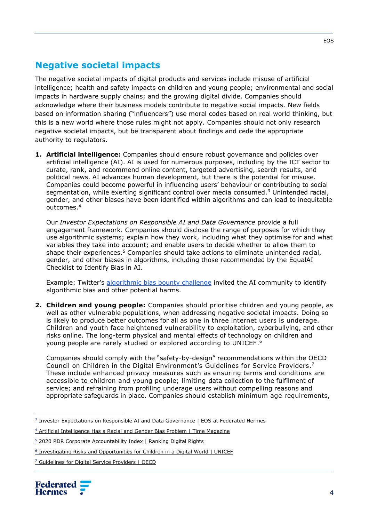### **Negative societal impacts**

The negative societal impacts of digital products and services include misuse of artificial intelligence; health and safety impacts on children and young people; environmental and social impacts in hardware supply chains; and the growing digital divide. Companies should acknowledge where their business models contribute to negative social impacts. New fields based on information sharing ("influencers") use moral codes based on real world thinking, but this is a new world where those rules might not apply. Companies should not only research negative societal impacts, but be transparent about findings and cede the appropriate authority to regulators.

**1. Artificial intelligence:** Companies should ensure robust governance and policies over artificial intelligence (AI). AI is used for numerous purposes, including by the ICT sector to curate, rank, and recommend online content, targeted advertising, search results, and political news. AI advances human development, but there is the potential for misuse. Companies could become powerful in influencing users' behaviour or contributing to social segmentation, while exerting significant control over media consumed.<sup>3</sup> Unintended racial, gender, and other biases have been identified within algorithms and can lead to inequitable outcomes.<sup>4</sup>

Our *[Investor Expectations on Responsible AI and Data Governance](https://www.hermes-investment.com/wp-content/uploads/2019/04/investors%E2%80%99-expectations-on-responsible-artificial-intelligence-and-data-governance.pdf)* provide a full engagement framework. Companies should disclose the range of purposes for which they use algorithmic systems; explain how they work, including what they optimise for and what variables they take into account; and enable users to decide whether to allow them to shape their experiences. $5$  Companies should take actions to eliminate unintended racial, gender, and other biases in algorithms, including those recommended by the [EqualAI](https://www.equalai.org/assets/docs/EqualAI_Checklist_for_Identifying_Bias_in_AI.pdf)  [Checklist to Identify Bias in AI.](https://www.equalai.org/assets/docs/EqualAI_Checklist_for_Identifying_Bias_in_AI.pdf)

Example: Twitter's [algorithmic bias bounty challenge](https://blog.twitter.com/engineering/en_us/topics/insights/2021/learnings-from-the-first-algorithmic-bias-bounty-challenge) [invited](https://blog.twitter.com/engineering/en_us/topics/insights/2021/algorithmic-bias-bounty-challenge) the AI community to identify algorithmic bias and other potential harms.

**2. Children and young people:** Companies should prioritise children and young people, as well as other vulnerable populations, when addressing negative societal impacts. Doing so is likely to produce better outcomes for all as one in three internet users is underage. Children and youth face heightened vulnerability to exploitation, cyberbullying, and other risks online. The long-term physical and mental effects of technology on children and young people are rarely studied or explored according to UNICEF. 6

Companies should comply with the "safety-by-design" recommendations within the OECD Council on Children in the Digital Environment's [Guidelines for Service Providers.](https://www.oecd.org/mcm/OECD%20Guidelines%20for%20Digital%20Service%20Providers.pdf)<sup>7</sup> These include enhanced privacy measures such as ensuring terms and conditions are accessible to children and young people; limiting data collection to the fulfilment of service; and refraining from profiling underage users without compelling reasons and appropriate safeguards in place. Companies should establish minimum age requirements,

<sup>7</sup> [Guidelines for Digital Service Providers](https://www.oecd.org/mcm/OECD%20Guidelines%20for%20Digital%20Service%20Providers.pdf) | OECD



<sup>&</sup>lt;sup>3</sup> [Investor Expectations on Responsible AI and Data Governance | EOS](https://www.hermes-investment.com/wp-content/uploads/2019/04/investors%E2%80%99-expectations-on-responsible-artificial-intelligence-and-data-governance.pdf) at Federated Hermes

<sup>4</sup> [Artificial Intelligence Has a Racial and Gender Bias Problem | Time Magazine](https://time.com/5520558/artificial-intelligence-racial-gender-bias/)

<sup>&</sup>lt;sup>5</sup> [2020 RDR Corporate Accountability Index](https://rankingdigitalrights.org/index2020/explore-indicators) | Ranking Digital Rights

<sup>&</sup>lt;sup>6</sup> [Investigating Risks and Opportunities for Children in a Digital World](https://www.unicef-irc.org/publications/pdf/Investigating-Risks-and-Opportunities-for-Children-in-a-Digital-World.pdf) | UNICEF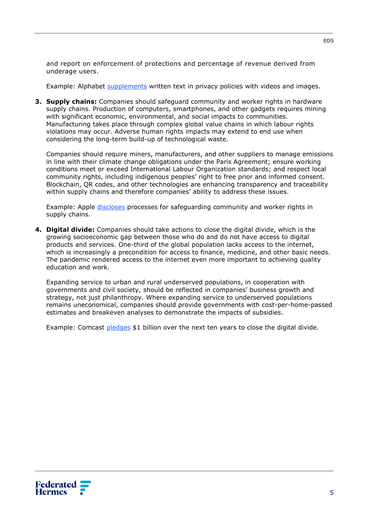and report on enforcement of protections and percentage of revenue derived from underage users.

Example: Alphabet [supplements](https://policies.google.com/privacy?hl=en-US) written text in privacy policies with videos and images.

**3. Supply chains:** Companies should safeguard community and worker rights in hardware supply chains. Production of computers, smartphones, and other gadgets requires mining with significant economic, environmental, and social impacts to communities. Manufacturing takes place through complex global value chains in which labour rights violations may occur. Adverse human rights impacts may extend to end use when considering the long-term build-up of technological waste.

Companies should require miners, manufacturers, and other suppliers to manage emissions in line with their climate change obligations under the Paris Agreement; ensure working conditions meet or exceed International Labour Organization standards; and respect local community rights, including indigenous peoples' right to free prior and informed consent. Blockchain, QR codes, and other technologies are enhancing transparency and traceability within supply chains and therefore companies' ability to address these issues.

Example: Apple [discloses](https://www.apple.com/supplier-responsibility/pdf/Apple_SR_2021_Progress_Report.pdf) processes for safeguarding community and worker rights in supply chains.

**4. Digital divide:** Companies should take actions to close the digital divide, which is the growing socioeconomic gap between those who do and do not have access to digital products and services. One-third of the global population lacks access to the internet, which is increasingly a precondition for access to finance, medicine, and other basic needs. The pandemic rendered access to the internet even more important to achieving quality education and work.

Expanding service to urban and rural underserved populations, in cooperation with governments and civil society, should be reflected in companies' business growth and strategy, not just philanthropy. Where expanding service to underserved populations remains uneconomical, companies should provide governments with cost-per-home-passed estimates and breakeven analyses to demonstrate the impacts of subsidies.

Example: Comcast [pledges](https://www.fiercetelecom.com/operators/comcast-pledges-1b-over-10-years-to-close-digital-divide) \$1 billion over the next ten years to close the digital divide.

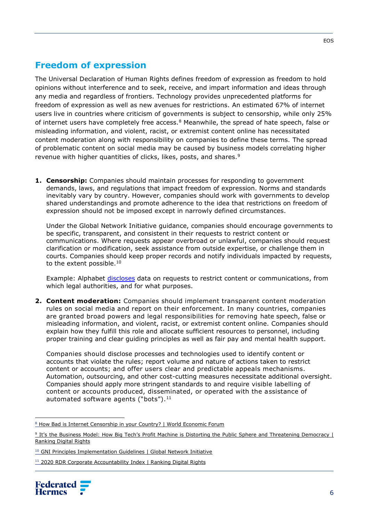# **Freedom of expression**

The Universal Declaration of Human Rights defines freedom of expression as freedom to hold opinions without interference and to seek, receive, and impart information and ideas through any media and regardless of frontiers. Technology provides unprecedented platforms for freedom of expression as well as new avenues for restrictions. An estimated 67% of internet users live in countries where criticism of governments is subject to censorship, while only 25% of internet users have completely free access. $8$  Meanwhile, the spread of hate speech, false or misleading information, and violent, racist, or extremist content online has necessitated content moderation along with responsibility on companies to define these terms. The spread of problematic content on social media may be caused by business models correlating higher revenue with higher quantities of clicks, likes, posts, and shares.<sup>9</sup>

**1. Censorship:** Companies should maintain processes for responding to government demands, laws, and regulations that impact freedom of expression. Norms and standards inevitably vary by country. However, companies should work with governments to develop shared understandings and promote adherence to the idea that restrictions on freedom of expression should not be imposed except in narrowly defined circumstances.

Under the Global Network Initiative guidance, companies should encourage governments to be specific, transparent, and consistent in their requests to restrict content or communications. Where requests appear overbroad or unlawful, companies should request clarification or modification, seek assistance from outside expertise, or challenge them in courts. Companies should keep proper records and notify individuals impacted by requests, to the extent possible.<sup>10</sup>

Example: Alphabet [discloses](https://transparencyreport.google.com/government-removals/overview?hl=en) data on requests to restrict content or communications, from which legal authorities, and for what purposes.

**2. Content moderation:** Companies should implement transparent content moderation rules on social media and report on their enforcement. In many countries, companies are granted broad powers and legal responsibilities for removing hate speech, false or misleading information, and violent, racist, or extremist content online. Companies should explain how they fulfill this role and allocate sufficient resources to personnel, including proper training and clear guiding principles as well as fair pay and mental health support.

Companies should disclose processes and technologies used to identify content or accounts that violate the rules; report volume and nature of actions taken to restrict content or accounts; and offer users clear and predictable appeals mechanisms. Automation, outsourcing, and other cost-cutting measures necessitate additional oversight. Companies should apply more stringent standards to and require visible labelling of content or accounts produced, disseminated, or operated with the assistance of automated software agents ("bots"). $11$ 

<sup>&</sup>lt;sup>11</sup> [2020 RDR Corporate Accountability Index](https://rankingdigitalrights.org/index2020/explore-indicators) | Ranking Digital Rights



<sup>&</sup>lt;sup>8</sup> [How Bad is Internet Censorship in your Country? | World Economic Forum](https://www.weforum.org/agenda/2016/12/freedom-on-the-net-2016-where-are-social-media-users-under-pressure/)

<sup>&</sup>lt;sup>9</sup> It's the Business Model: How Big Tech's Profit Machine is Distorting the Public Sphere and Threatening Democracy L Ranking Digital Rights

<sup>&</sup>lt;sup>10</sup> [GNI Principles Implementation Guidelines | Global Network Initiative](https://globalnetworkinitiative.org/implementation-guidelines/)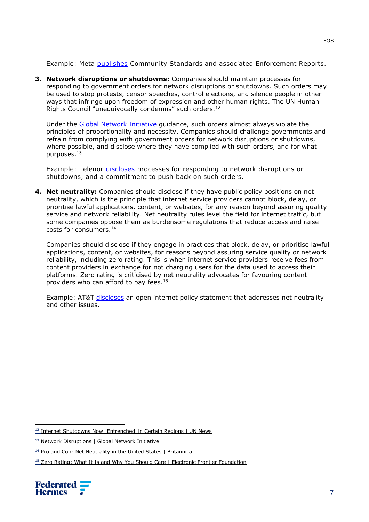Example: Meta [publishes](https://hfml.sharepoint.com/sites/eos/EOS/Business%20Activities/Engagement/Engagement%20Plan/Theme/Human%20&%20Labour%20Rights/Digital/transparency.fb.com) Community Standards and associated Enforcement Reports.

**3. Network disruptions or shutdowns:** Companies should maintain processes for responding to government orders for network disruptions or shutdowns. Such orders may be used to stop protests, censor speeches, control elections, and silence people in other ways that infringe upon freedom of expression and other human rights. The UN Human Rights Council "unequivocally condemns" such orders.<sup>12</sup>

Under the [Global Network Initiative](https://globalnetworkinitiative.org/policy-issues/network-disruptions/) guidance, such orders almost always violate the principles of proportionality and necessity. Companies should challenge governments and refrain from complying with government orders for network disruptions or shutdowns, where possible, and disclose where they have complied with such orders, and for what purposes.<sup>13</sup>

Example: Telenor [discloses](https://rankingdigitalrights.org/index2020/indicators/F10) processes for responding to network disruptions or shutdowns, and a commitment to push back on such orders.

**4. Net neutrality:** Companies should disclose if they have public policy positions on net neutrality, which is the principle that internet service providers cannot block, delay, or prioritise lawful applications, content, or websites, for any reason beyond assuring quality service and network reliability. Net neutrality rules level the field for internet traffic, but some companies oppose them as burdensome regulations that reduce access and raise costs for consumers.<sup>14</sup>

Companies should disclose if they engage in practices that block, delay, or prioritise lawful applications, content, or websites, for reasons beyond assuring service quality or network reliability, including zero rating. This is when internet service providers receive fees from content providers in exchange for not charging users for the data used to access their platforms. Zero rating is criticised by net neutrality advocates for favouring content providers who can afford to pay fees.<sup>15</sup>

Example: AT&T [discloses](https://www.att.com/legal/terms.openinternetpolicy.html) an open internet policy statement that addresses net neutrality and other issues.

<sup>&</sup>lt;sup>15</sup> [Zero Rating: What It Is and Why You Should Care | Electronic Frontier Foundation](https://www.eff.org/deeplinks/2016/02/zero-rating-what-it-is-why-you-should-care)



<sup>&</sup>lt;sup>12</sup> [Internet Shutdowns Now "Entrenched' in Certain Regions | UN News](https://news.un.org/en/story/2021/07/1095142)

<sup>&</sup>lt;sup>13</sup> [Network Disruptions | Global Network Initiative](https://globalnetworkinitiative.org/policy-issues/network-disruptions/)

<sup>&</sup>lt;sup>14</sup> [Pro and Con: Net Neutrality in the United States | Britannica](https://www.britannica.com/story/pro-and-con-should-the-us-have-net-neutrality-laws)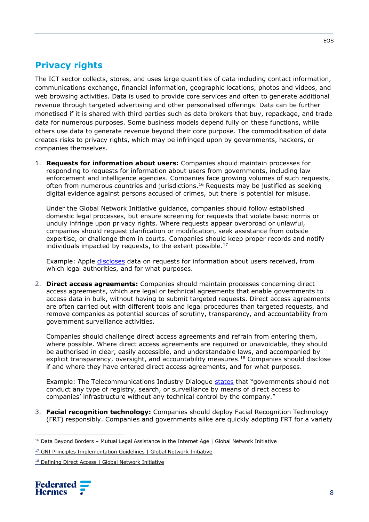## **Privacy rights**

The ICT sector collects, stores, and uses large quantities of data including contact information, communications exchange, financial information, geographic locations, photos and videos, and web browsing activities. Data is used to provide core services and often to generate additional revenue through targeted advertising and other personalised offerings. Data can be further monetised if it is shared with third parties such as data brokers that buy, repackage, and trade data for numerous purposes. Some business models depend fully on these functions, while others use data to generate revenue beyond their core purpose. The commoditisation of data creates risks to privacy rights, which may be infringed upon by governments, hackers, or companies themselves.

1. **Requests for information about users:** Companies should maintain processes for responding to requests for information about users from governments, including law enforcement and intelligence agencies. Companies face growing volumes of such requests, often from numerous countries and jurisdictions.<sup>16</sup> Requests may be justified as seeking digital evidence against persons accused of crimes, but there is potential for misuse.

Under the Global Network Initiative guidance, companies should follow established domestic legal processes, but ensure screening for requests that violate basic norms or unduly infringe upon privacy rights. Where requests appear overbroad or unlawful, companies should request clarification or modification, seek assistance from outside expertise, or challenge them in courts. Companies should keep proper records and notify individuals impacted by requests, to the extent possible.<sup>17</sup>

Example: Apple [discloses](https://www.apple.com/legal/transparency/) data on requests for information about users received, from which legal authorities, and for what purposes.

2. **Direct access agreements:** Companies should maintain processes concerning direct access agreements, which are legal or technical agreements that enable governments to access data in bulk, without having to submit targeted requests. Direct access agreements are often carried out with different tools and legal procedures than targeted requests, and remove companies as potential sources of scrutiny, transparency, and accountability from government surveillance activities.

Companies should challenge direct access agreements and refrain from entering them, where possible. Where direct access agreements are required or unavoidable, they should be authorised in clear, easily accessible, and understandable laws, and accompanied by explicit transparency, oversight, and accountability measures.<sup>18</sup> Companies should disclose if and where they have entered direct access agreements, and for what purposes.

Example: The Telecommunications Industry Dialogue [states](http://www.telecomindustrydialogue.org/wp-content/uploads/Industry-Dialogue-reply-to-Privacy-International-Feb-8-2017.pdf) that "governments should not conduct any type of registry, search, or surveillance by means of direct access to companies' infrastructure without any technical control by the company."

3. **Facial recognition technology:** Companies should deploy Facial Recognition Technology (FRT) responsibly. Companies and governments alike are quickly adopting FRT for a variety

<sup>&</sup>lt;sup>18</sup> Defining Direct Access [| Global Network Initiative](https://globalnetworkinitiative.org/defining-direct-access-2/)



 $16$  [Data](https://globalnetworkinitiative.org/wp-content/uploads/2016/12/GNI-MLAT-Report.pdf) Beyond Borders – Mutual Legal Assistance in the Internet Age | Global Network Initiative

<sup>&</sup>lt;sup>17</sup> [GNI Principles Implementation Guidelines](https://globalnetworkinitiative.org/implementation-guidelines/) | Global Network Initiative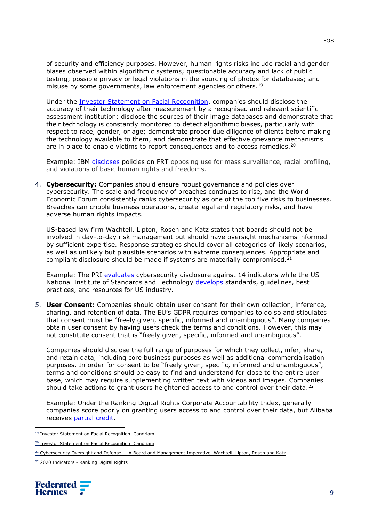of security and efficiency purposes. However, human rights risks include racial and gender biases observed within algorithmic systems; questionable accuracy and lack of public testing; possible privacy or legal violations in the sourcing of photos for databases; and misuse by some governments, law enforcement agencies or others.<sup>19</sup>

Under the [Investor Statement on Facial Recognition,](https://www.candriam.com/4a49b8/siteassets/campagne/facial-recognition/2021_06_investor_statement_en_final.pdf) companies should disclose the accuracy of their technology after measurement by a recognised and relevant scientific assessment institution; disclose the sources of their image databases and demonstrate that their technology is constantly monitored to detect algorithmic biases, particularly with respect to race, gender, or age; demonstrate proper due diligence of clients before making the technology available to them; and demonstrate that effective grievance mechanisms are in place to enable victims to report consequences and to access remedies.<sup>20</sup>

Example: IBM [discloses](https://www.ibm.com/blogs/policy/facial-recognition-export-controls/) policies on FRT opposing use for mass surveillance, racial profiling, and violations of basic human rights and freedoms.

4. **Cybersecurity:** Companies should ensure robust governance and policies over cybersecurity. The scale and frequency of breaches continues to rise, and the World Economic Forum consistently ranks cybersecurity as one of the top five risks to businesses. Breaches can cripple business operations, create legal and regulatory risks, and have adverse human rights impacts.

US-based law firm Wachtell, Lipton, Rosen and Katz states that boards should not be involved in day-to-day risk management but should have oversight mechanisms informed by sufficient expertise. Response strategies should cover all categories of likely scenarios, as well as unlikely but plausible scenarios with extreme consequences. Appropriate and compliant disclosure should be made if systems are materially compromised. $21$ 

Example: The PRI [evaluates](https://www.unpri.org/download?ac=5134) cybersecurity disclosure against 14 indicators while the US National Institute of Standards and Technology [develops](https://www.nist.gov/cybersecurity) standards, guidelines, best practices, and resources for US industry.

5. **User Consent:** Companies should obtain user consent for their own collection, inference, sharing, and retention of data. The EU's GDPR requires companies to do so and stipulates that consent must be "freely given, specific, informed and unambiguous". Many companies obtain user consent by having users check the terms and conditions. However, this may not constitute consent that is "freely given, specific, informed and unambiguous".

Companies should disclose the full range of purposes for which they collect, infer, share, and retain data, including core business purposes as well as additional commercialisation purposes. In order for consent to be "freely given, specific, informed and unambiguous", terms and conditions should be easy to find and understand for close to the entire user base, which may require supplementing written text with videos and images. Companies should take actions to grant users heightened access to and control over their data.<sup>22</sup>

Example: Under the Ranking Digital Rights Corporate Accountability Index, generally companies score poorly on granting users access to and control over their data, but Alibaba receives [partial credit.](https://rankingdigitalrights.org/index2020/indicators/P7)

<sup>&</sup>lt;sup>22</sup> 2020 Indicators - [Ranking Digital Rights](https://rankingdigitalrights.org/2020-indicators/#P7)



<sup>19</sup> [Investor](https://www.candriam.com/49f793/siteassets/campagne/facial-recognition/2021_06_investor_statement_en_final.pdf) Statement on Facial Recognition. Candriam

<sup>20</sup> [Investor](https://www.candriam.com/49f793/siteassets/campagne/facial-recognition/2021_06_investor_statement_en_final.pdf) Statement on Facial Recognition. Candriam

<sup>&</sup>lt;sup>21</sup> Cybersecurity Oversight and Defense - [A Board and Management Imperative. W](https://corpgov.law.harvard.edu/2021/05/14/cybersecurity-oversight-and-defense-a-board-and-management-imperative/)achtell, Lipton, Rosen and Katz